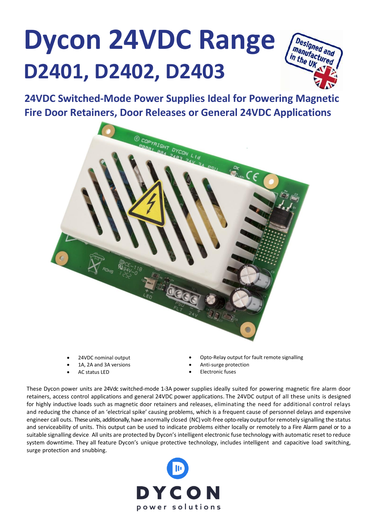## **Dycon 24VDC Range D2401, D2402, D2403**



**24VDC Switched-Mode Power Supplies Ideal for Powering Magnetic Fire Door Retainers, Door Releases or General 24VDC Applications**



- 24VDC nominal output
- 1A, 2A and 3A versions
- AC status LED
- Opto-Relay output for fault remote signalling
- Anti-surge protection
- **Electronic fuses**

These Dycon power units are 24Vdc switched-mode 1-3A power supplies ideally suited for powering magnetic fire alarm door retainers, access control applications and general 24VDC power applications. The 24VDC output of all these units is designed for highly inductive loads such as magnetic door retainers and releases, eliminating the need for additional control relays and reducing the chance of an 'electrical spike' causing problems, which is a frequent cause of personnel delays and expensive engineer call outs. These units, additionally, have a normally closed (NC) volt-free opto-relay outputforremotely signalling the status and serviceability of units. This output can be used to indicate problems either locally or remotely to a Fire Alarm panel or to a suitable signalling device. All units are protected by Dycon's intelligent electronic fuse technology with automatic reset to reduce system downtime. They all feature Dycon's unique protective technology, includes intelligent and capacitive load switching, surge protection and snubbing.